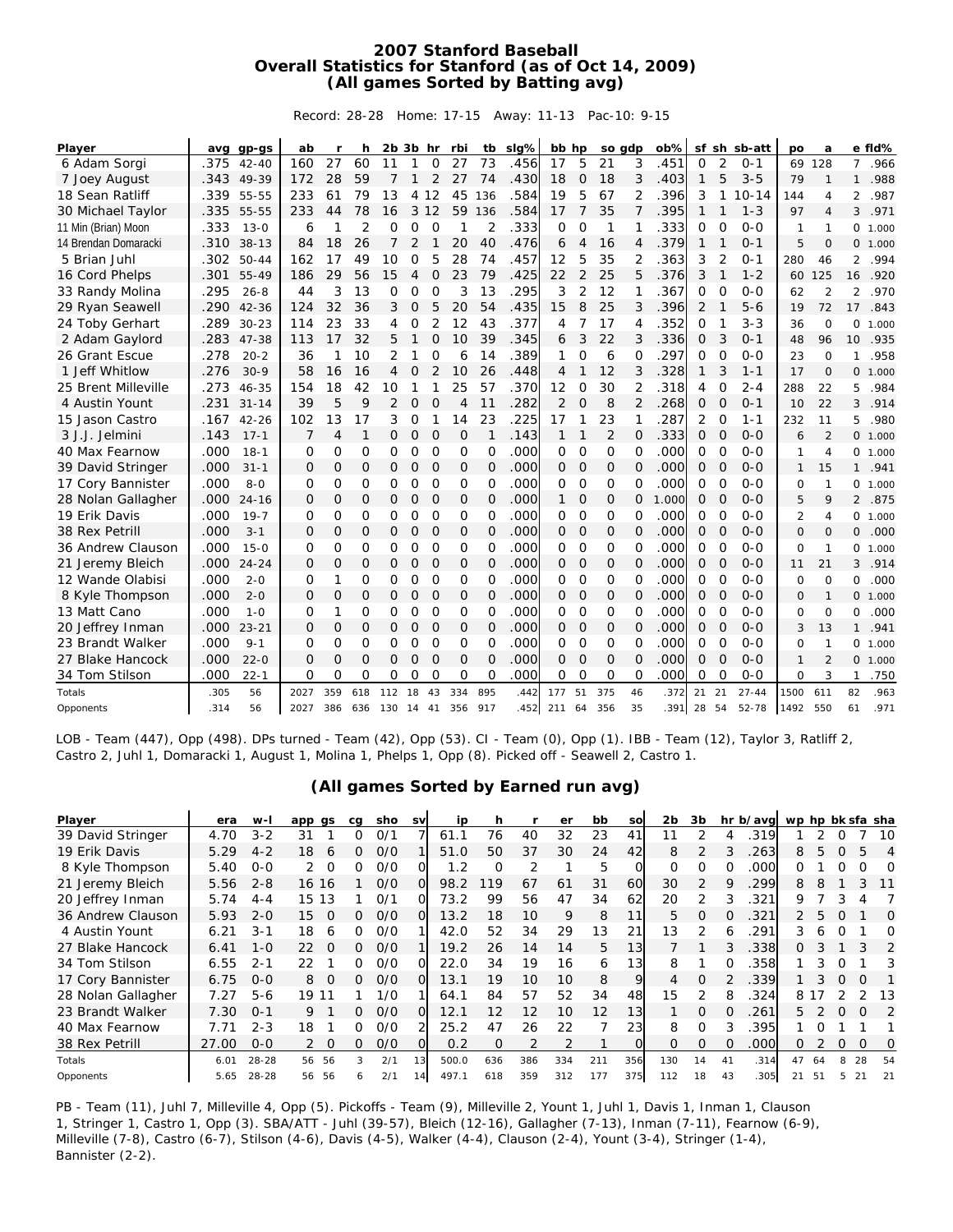## **2007 Stanford Baseball Overall Statistics for Stanford (as of Oct 14, 2009) (All games Sorted by Batting avg)**

Record: 28-28 Home: 17-15 Away: 11-13 Pac-10: 9-15

| Player               |      | avg gp-gs | ab             | r   | h              | $2b$ $3b$ hr   |                |                | rbi            | tb             | slg% | bb hp          |                | so gdp         |                | ob%   |          |                | sf sh sb-att | <b>DO</b>      | a              |                | e fid% |
|----------------------|------|-----------|----------------|-----|----------------|----------------|----------------|----------------|----------------|----------------|------|----------------|----------------|----------------|----------------|-------|----------|----------------|--------------|----------------|----------------|----------------|--------|
| 6 Adam Sorgi         | .375 | $42 - 40$ | 160            | 27  | 60             | 11             |                | $\overline{0}$ | 27             | 73             | .456 | 17             | 5              | 21             | 3              | 451   | $\Omega$ | $\overline{2}$ | $0 - 1$      | 69             | 128            | $\overline{7}$ | .966   |
| 7 Joey August        | .343 | 49-39     | 172            | 28  | 59             | 7              | $\mathbf{1}$   | 2              | 27             | 74             | .430 | 18             | 0              | 18             | 3              | .403  | 1        | 5              | $3 - 5$      | 79             | 1              | $\mathbf{1}$   | .988   |
| 18 Sean Ratliff      | .339 | 55-55     | 233            | 61  | 79             | 13             | 4              | 12             | 45             | 136            | .584 | 19             | 5              | 67             | 2              | 396   | 3        | $\mathbf{1}$   | $10 - 14$    | 144            | 4              | $\overline{2}$ | .987   |
| 30 Michael Taylor    | .335 | 55-55     | 233            | 44  | 78             | 16             | 3              | 12             | 59             | 136            | .584 | 17             | 7              | 35             | $\overline{7}$ | .395  | 1        | 1              | $1 - 3$      | 97             | 4              | 3              | .971   |
| 11 Min (Brian) Moon  | .333 | $13 - 0$  | 6              |     | $\overline{2}$ | 0              | 0              | $\circ$        | 1              | $\overline{2}$ | .333 | $\Omega$       | $\Omega$       | 1              | 1              | 333   | O        | $\Omega$       | $0 - 0$      | 1              | 1              | 0              | 1.000  |
| 14 Brendan Domaracki | .310 | $38 - 13$ | 84             | 18  | 26             | $\overline{7}$ | $\overline{2}$ | $\mathbf 1$    | 20             | 40             | .476 | 6              | 4              | 16             | 4              | 379   | 1        | 1              | $0 - 1$      | 5              | $\mathbf 0$    | 0              | 1.000  |
| 5 Brian Juhl         | .302 | $50 - 44$ | 162            | 17  | 49             | 10             | 0              | 5              | 28             | 74             | .457 | 12             | 5              | 35             | 2              | 363   | 3        | 2              | $0 - 1$      | 280            | 46             | $\overline{2}$ | .994   |
| 16 Cord Phelps       | .301 | $55 - 49$ | 186            | 29  | 56             | 15             | $\overline{4}$ | $\mathbf 0$    | 23             | 79             | .425 | 22             | $\overline{2}$ | 25             | 5              | .376  | 3        | 1              | $1 - 2$      | 60             | 125            | 16             | .920   |
| 33 Randy Molina      | .295 | $26 - 8$  | 44             | 3   | 13             | 0              | 0              | 0              | 3              | 13             | .295 | 3              | 2              | 12             | 1              | 367   | 0        | 0              | $0 - 0$      | 62             | $\overline{2}$ | 2              | .970   |
| 29 Ryan Seawell      | .290 | $42 - 36$ | 124            | 32  | 36             | 3              | O              | 5              | 20             | 54             | .435 | 15             | 8              | 25             | 3              | .396  | 2        | 1              | $5-6$        | 19             | 72             | 17             | .843   |
| 24 Toby Gerhart      | .289 | $30 - 23$ | 114            | 23  | 33             | 4              | 0              | 2              | 12             | 43             | .377 | 4              |                | 17             | 4              | 352   | O        |                | $3 - 3$      | 36             | $\Omega$       | 0              | 1.000  |
| 2 Adam Gaylord       | .283 | 47-38     | 113            | 17  | 32             | 5              |                | $\mathbf{O}$   | 10             | 39             | .345 | 6              | 3              | 22             | 3              | 336   | 0        | 3              | $0 - 1$      | 48             | 96             | 10             | .935   |
| 26 Grant Escue       | .278 | $20 - 2$  | 36             |     | 10             | 2              |                | $\mathbf 0$    | 6              | 14             | .389 | 1              | O              | 6              | 0              | 297   | O        | $\overline{0}$ | $0 - 0$      | 23             | $\circ$        | 1              | .958   |
| 1 Jeff Whitlow       | .276 | $30-9$    | 58             | 16  | 16             | 4              | $\Omega$       | 2              | 10             | 26             | .448 | 4              |                | 12             | 3              | 328   | 1        | 3              | $1 - 1$      | 17             | $\mathbf 0$    | 0              | 1.000  |
| 25 Brent Milleville  | .273 | $46 - 35$ | 154            | 18  | 42             | 10             |                |                | 25             | 57             | .370 | 12             | O              | 30             | 2              | 318   | 4        | $\mathbf 0$    | $2 - 4$      | 288            | 22             | 5              | .984   |
| 4 Austin Yount       | .231 | $31 - 14$ | 39             | 5   | 9              | $\overline{2}$ | O              | $\overline{O}$ | 4              | 11             | .282 | $\overline{2}$ | $\overline{O}$ | 8              | 2              | 268   | 0        | $\overline{O}$ | $0 - 1$      | 10             | 22             | 3              | .914   |
| 15 Jason Castro      | .167 | $42 - 26$ | 102            | 13  | 17             | 3              | 0              | 1              | 14             | 23             | .225 | 17             | 1              | 23             | 1              | 287   | 2        | $\mathbf 0$    | $1 - 1$      | 232            | 11             | 5              | .980   |
| 3 J.J. Jelmini       | .143 | $17 - 1$  | $\overline{7}$ | 4   | $\mathbf{1}$   | O              | O              | $\Omega$       | 0              | 1              | .143 | $\mathbf{1}$   | $\mathbf 1$    | $\overline{2}$ | 0              | .333  | 0        | $\overline{O}$ | $0 - 0$      | 6              | $\overline{2}$ | 0              | 1.000  |
| 40 Max Fearnow       | .000 | $18 - 1$  | $\Omega$       | 0   | $\Omega$       | 0              | 0              | $\overline{O}$ | $\Omega$       | 0              | .000 | 0              | $\circ$        | $\Omega$       | O              | .000  | 0        | $\mathbf 0$    | $0 - 0$      | 1              | $\overline{4}$ | 0              | 1.000  |
| 39 David Stringer    | .000 | $31 - 1$  | $\Omega$       | 0   | $\mathbf 0$    | $\mathbf{O}$   | $\mathbf{O}$   | $\circ$        | $\Omega$       | $\overline{O}$ | .000 | $\Omega$       | $\circ$        | $\Omega$       | $\Omega$       | .000  | O        | $\Omega$       | $O - O$      | $\mathbf{1}$   | 15             | $\mathbf{1}$   | .941   |
| 17 Cory Bannister    | .000 | $8 - 0$   | $\Omega$       | 0   | O              | O              | $\Omega$       | $\Omega$       | $\Omega$       | $\Omega$       | .000 | 0              | $\Omega$       | $\Omega$       | $\Omega$       | .000  | O        | $\Omega$       | $O - O$      | $\Omega$       | 1              | 0              | 1.000  |
| 28 Nolan Gallagher   | .000 | $24 - 16$ | 0              | 0   | $\mathbf 0$    | 0              | 0              | $\mathbf 0$    | 0              | 0              | .000 | $\mathbf{1}$   | $\circ$        | 0              | 0              | 1.000 | O        | $\overline{O}$ | $O - O$      | 5              | 9              | $\overline{2}$ | .875   |
| 19 Erik Davis        | .000 | $19 - 7$  | $\Omega$       | 0   | O              | 0              | 0              | $\circ$        | O              | 0              | .000 | 0              | $\Omega$       | $\Omega$       | O              | .000  | 0        | $\mathbf 0$    | $O - O$      | $\overline{2}$ | 4              | 0              | 1.000  |
| 38 Rex Petrill       | .000 | $3 - 1$   | O              | 0   | $\mathbf 0$    | 0              | O              | $\circ$        | $\Omega$       | O              | .000 | $\Omega$       | $\circ$        | $\Omega$       | $\mathbf 0$    | .000  | O        | $\Omega$       | $O - O$      | $\Omega$       | $\Omega$       | $\mathbf{O}$   | .000   |
| 36 Andrew Clauson    | .000 | $15-0$    | $\Omega$       | 0   | O              | 0              | 0              | $\circ$        | O              | 0              | .000 | 0              | $\Omega$       | $\Omega$       | $\Omega$       | .000  | O        | $\Omega$       | $O-O$        | $\Omega$       | 1              | 0              | 1.000  |
| 21 Jeremy Bleich     | .000 | $24 - 24$ | O              | 0   | $\mathbf 0$    | 0              | O              | $\circ$        | 0              | 0              | .000 | $\Omega$       | $\circ$        | 0              | $\mathbf 0$    | .000  | O        | $\Omega$       | $O-O$        | 11             | 21             | 3              | .914   |
| 12 Wande Olabisi     | .000 | $2 - 0$   | $\Omega$       | 1   | O              | O              | O              | $\Omega$       | $\Omega$       | $\Omega$       | .000 | O              | $\Omega$       | $\Omega$       | $\Omega$       | .000  | O        | $\Omega$       | $O-O$        | $\Omega$       | $\Omega$       | 0              | .000   |
| 8 Kyle Thompson      | .000 | $2 - 0$   | O              | 0   | O              | 0              | 0              | 0              | 0              | 0              | .000 | 0              | 0              | 0              | O              | .000  | 0        | $\overline{O}$ | $O-O$        | 0              | 1              | 0              | 1.000  |
| 13 Matt Cano         | .000 | $1 - 0$   | $\Omega$       | 1   | O              | 0              | O              | O              | O              | O              | .000 | 0              | $\Omega$       | $\Omega$       | O              | 000   | O        | $\Omega$       | $0 - 0$      | 0              | $\Omega$       | 0              | .000   |
| 20 Jeffrey Inman     | .000 | $23 - 21$ | $\Omega$       | O   | $\Omega$       | 0              | O              | $\circ$        | $\Omega$       | O              | .000 | $\Omega$       | $\circ$        | $\Omega$       | O              | .000  | O        | $\overline{O}$ | $O-O$        | 3              | 13             | $\mathbf{1}$   | .941   |
| 23 Brandt Walker     | .000 | $9 - 1$   | $\Omega$       | 0   | O              | 0              | 0              | $\mathbf 0$    | $\mathbf 0$    | 0              | .000 | 0              | $\mathbf 0$    | $\circ$        | 0              | .000  | 0        | $\mathbf 0$    | $0 - 0$      | $\mathbf 0$    | $\mathbf{1}$   | 0              | 1.000  |
| 27 Blake Hancock     | .000 | $22 - 0$  | $\Omega$       | 0   | $\Omega$       | 0              | O              | $\overline{O}$ | $\overline{O}$ | $\Omega$       | .000 | $\Omega$       | $\Omega$       | $\Omega$       | $\mathbf 0$    | .000  | O        | $\overline{O}$ | $0 - 0$      | $\mathbf{1}$   | $\overline{2}$ | 0              | 1.000  |
| 34 Tom Stilson       | .000 | $22 - 1$  | $\Omega$       | 0   | $\Omega$       | 0              | 0              | $\circ$        | $\Omega$       | $\Omega$       | .000 | $\Omega$       | $\Omega$       | $\Omega$       | $\Omega$       | 000   | 0        | $\Omega$       | $O-O$        | $\mathbf 0$    | 3              | 1              | .750   |
| Totals               | .305 | 56        | 2027           | 359 | 618            | 112            | 18             | 43             | 334            | 895            | .442 | 177            | 51             | 375            | 46             | 372   | 21       | 21             | $27 - 44$    | 1500           | 611            | 82             | .963   |
| Opponents            | .314 | 56        | 2027           | 386 | 636            | 130            | 14 41          |                | 356            | 917            | .452 | 211            | 64             | 356            | 35             | 391   | 28 54    |                | $52 - 78$    | 1492           | 550            | 61             | .971   |

LOB - Team (447), Opp (498). DPs turned - Team (42), Opp (53). CI - Team (0), Opp (1). IBB - Team (12), Taylor 3, Ratliff 2, Castro 2, Juhl 1, Domaracki 1, August 1, Molina 1, Phelps 1, Opp (8). Picked off - Seawell 2, Castro 1.

## **(All games Sorted by Earned run avg)**

| Player             | era   | w-l       | app           | as       | ca           | sho | sv | ip    | h.       |     | er  | bb  | so              | 2b       | 3b       |    | hr b/avg | wp hp bk sfa sha |      |          |    |    |
|--------------------|-------|-----------|---------------|----------|--------------|-----|----|-------|----------|-----|-----|-----|-----------------|----------|----------|----|----------|------------------|------|----------|----|----|
| 39 David Stringer  | 4.70  | $3 - 2$   | 31            |          |              | 0/1 |    | 61.1  | 76       | 40  | 32  | 23  | 41              | 11       |          |    | 319      |                  |      |          |    | 10 |
| 19 Erik Davis      | 5.29  | $4 - 2$   | 18            | 6        | 0            | 0/0 |    | 51.0  | 50       | 37  | 30  | 24  | 42              | 8        |          |    | 263      | 8                | 5    | O        | 5  | 4  |
| 8 Kyle Thompson    | 5.40  | $O-O$     | 2             | $\Omega$ | 0            | 0/0 |    | 1.2   | O        |     |     | 5   | $\Omega$        | O        | O        | O  | .000     | n.               |      | 0        | Ω  | O  |
| 21 Jeremy Bleich   | 5.56  | $2 - 8$   | 16 16         |          |              | 0/0 | ΩI | 98.2  | 119      | 67  | 61  | 31  | 60              | 30       | 2        | 9  | 299      | 8                | 8    |          | 3  | 11 |
| 20 Jeffrey Inman   | 5.74  | 4-4       | 15            | 13       |              | O/1 | ΩI | 73.2  | 99       | 56  | 47  | 34  | 62              | 20       | 2        |    | 321      | Q                |      | 3        |    |    |
| 36 Andrew Clauson  | 5.93  | $2 - 0$   | 15            | $\Omega$ | 0            | 0/0 | O. | 13.2  | 18       | 10  | 9   | 8   | 11              | 5        | $\Omega$ | 0  | .321     | $\mathcal{P}$    | 5.   | $\Omega$ |    | 0  |
| 4 Austin Yount     | 6.21  | $3 - 1$   | 18            | 6        | <sup>n</sup> | 0/0 |    | 42.0  | 52       | 34  | 29  | 13  | 21              | 13       |          | 6  | 291      | 3                | h    | O        |    | O  |
| 27 Blake Hancock   | 6.41  | $1 - 0$   | 22            | $\Omega$ | 0            | 0/0 |    | 19.2  | 26       | 14  | 14  | 5   | 13              |          |          | 3  | .338     | 0                |      |          |    | 2  |
| 34 Tom Stilson     | 6.55  | $2 - 1$   | 22            |          | ∩            | 0/0 | ΩI | 22.0  | 34       | 19  | 16  | 6   | 13 <sub>1</sub> | 8        |          | O  | 358      |                  |      | O        |    | 3  |
| 17 Cory Bannister  | 6.75  | $O - O$   | 8             | $\Omega$ | ∩            | 0/0 | ΩI | 13.1  | 19       | 10  | 10  | 8   | 9               | 4        | $\Omega$ |    | .339     |                  |      | $\Omega$ | ∩  |    |
| 28 Nolan Gallagher | 7.27  | $5 - 6$   | 19.           |          |              | 1/0 |    | 64.1  | 84       | 57  | 52  | 34  | 48              | 15       | 2        | 8  | .324     |                  | 8 17 |          |    | 13 |
| 23 Brandt Walker   | 7.30  | $0 - 1$   | 9             |          | ∩            | 0/0 | OI | 12.1  | 12       | 12  | 10  | 12  | 13              |          | $\Omega$ | 0  | 261      | 5                |      | 0        | 0  | 2  |
| 40 Max Fearnow     | 7.71  | $2 - 3$   | 18            |          | O.           | 0/0 |    | 25.2  | 47       | 26  | 22  |     | 23              | 8        | O        | 3  | .395     |                  |      |          |    |    |
| 38 Rex Petrill     | 27.00 | $O-O$     | $\mathcal{P}$ | $\Omega$ | <sup>n</sup> | 0/0 | ΩL | 0.2   | $\Omega$ | 2   | っ   |     | O               | $\Omega$ | $\Omega$ | O  | .000     | 0                |      | O        | O  | 0  |
| Totals             | 6.01  | $28 - 28$ | 56            | 56       |              | 2/1 | 13 | 500.0 | 636      | 386 | 334 | 211 | 356             | 130      | 14       | 41 | .314     | 47               | 64   | 8        | 28 | 54 |
| Opponents          | 5.65  | $28 - 28$ | 56            | 56       |              | 2/1 | 14 | 497.1 | 618      | 359 | 312 | 177 | 375             | 112      | 18       | 43 | 305      | 21               | 51   | 5        | 21 | 21 |

PB - Team (11), Juhl 7, Milleville 4, Opp (5). Pickoffs - Team (9), Milleville 2, Yount 1, Juhl 1, Davis 1, Inman 1, Clauson 1, Stringer 1, Castro 1, Opp (3). SBA/ATT - Juhl (39-57), Bleich (12-16), Gallagher (7-13), Inman (7-11), Fearnow (6-9), Milleville (7-8), Castro (6-7), Stilson (4-6), Davis (4-5), Walker (4-4), Clauson (2-4), Yount (3-4), Stringer (1-4), Bannister (2-2).